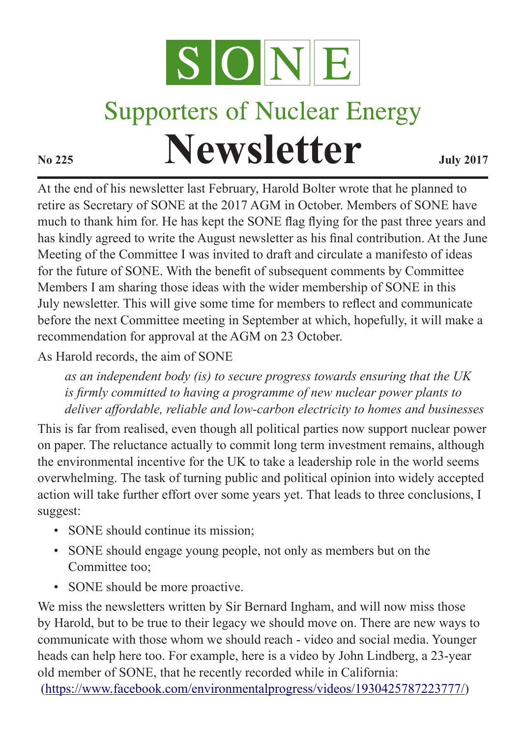

## **Supporters of Nuclear Energy Newsletter July 2017**

At the end of his newsletter last February, Harold Bolter wrote that he planned to retire as Secretary of SONE at the 2017 AGM in October. Members of SONE have much to thank him for. He has kept the SONE flag flying for the past three years and has kindly agreed to write the August newsletter as his final contribution. At the June Meeting of the Committee I was invited to draft and circulate a manifesto of ideas for the future of SONE. With the benefit of subsequent comments by Committee Members I am sharing those ideas with the wider membership of SONE in this July newsletter. This will give some time for members to reflect and communicate before the next Committee meeting in September at which, hopefully, it will make a recommendation for approval at the AGM on 23 October.

As Harold records, the aim of SONE

*as an independent body (is) to secure progress towards ensuring that the UK is firmly committed to having a programme of new nuclear power plants to deliver affordable, reliable and low-carbon electricity to homes and businesses*

This is far from realised, even though all political parties now support nuclear power on paper. The reluctance actually to commit long term investment remains, although the environmental incentive for the UK to take a leadership role in the world seems overwhelming. The task of turning public and political opinion into widely accepted action will take further effort over some years yet. That leads to three conclusions, I suggest:

- SONE should continue its mission;
- SONE should engage young people, not only as members but on the Committee too;
- SONE should be more proactive.

We miss the newsletters written by Sir Bernard Ingham, and will now miss those by Harold, but to be true to their legacy we should move on. There are new ways to communicate with those whom we should reach - video and social media. Younger heads can help here too. For example, here is a video by John Lindberg, a 23-year old member of SONE, that he recently recorded while in California:

(https://www.facebook.com/environmentalprogress/videos/1930425787223777/)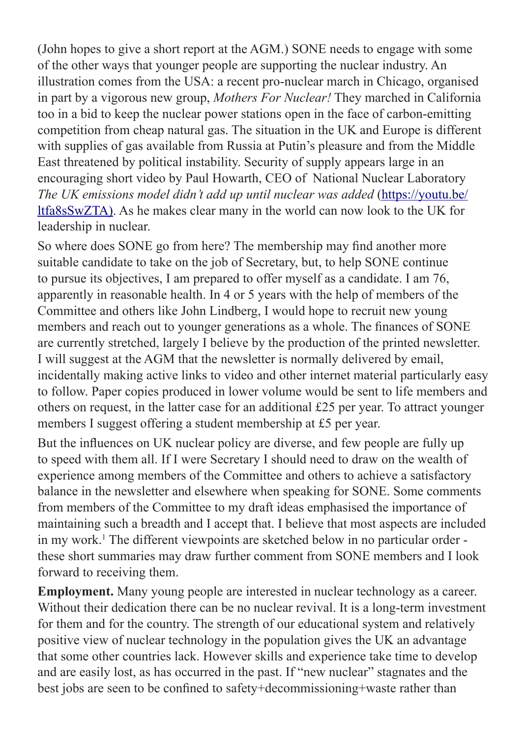(John hopes to give a short report at the AGM.) SONE needs to engage with some of the other ways that younger people are supporting the nuclear industry. An illustration comes from the USA: a recent pro-nuclear march in Chicago, organised in part by a vigorous new group, *Mothers For Nuclear!* They marched in California too in a bid to keep the nuclear power stations open in the face of carbon-emitting competition from cheap natural gas. The situation in the UK and Europe is different with supplies of gas available from Russia at Putin's pleasure and from the Middle East threatened by political instability. Security of supply appears large in an encouraging short video by Paul Howarth, CEO of National Nuclear Laboratory *The UK emissions model didn't add up until nuclear was added* (https://youtu.be/ ltfa8sSwZTA). As he makes clear many in the world can now look to the UK for leadership in nuclear.

So where does SONE go from here? The membership may find another more suitable candidate to take on the job of Secretary, but, to help SONE continue to pursue its objectives, I am prepared to offer myself as a candidate. I am 76, apparently in reasonable health. In 4 or 5 years with the help of members of the Committee and others like John Lindberg, I would hope to recruit new young members and reach out to younger generations as a whole. The finances of SONE are currently stretched, largely I believe by the production of the printed newsletter. I will suggest at the AGM that the newsletter is normally delivered by email, incidentally making active links to video and other internet material particularly easy to follow. Paper copies produced in lower volume would be sent to life members and others on request, in the latter case for an additional £25 per year. To attract younger members I suggest offering a student membership at £5 per year.

But the influences on UK nuclear policy are diverse, and few people are fully up to speed with them all. If I were Secretary I should need to draw on the wealth of experience among members of the Committee and others to achieve a satisfactory balance in the newsletter and elsewhere when speaking for SONE. Some comments from members of the Committee to my draft ideas emphasised the importance of maintaining such a breadth and I accept that. I believe that most aspects are included in my work.<sup>1</sup> The different viewpoints are sketched below in no particular order these short summaries may draw further comment from SONE members and I look forward to receiving them.

**Employment.** Many young people are interested in nuclear technology as a career. Without their dedication there can be no nuclear revival. It is a long-term investment for them and for the country. The strength of our educational system and relatively positive view of nuclear technology in the population gives the UK an advantage that some other countries lack. However skills and experience take time to develop and are easily lost, as has occurred in the past. If "new nuclear" stagnates and the best jobs are seen to be confined to safety+decommissioning+waste rather than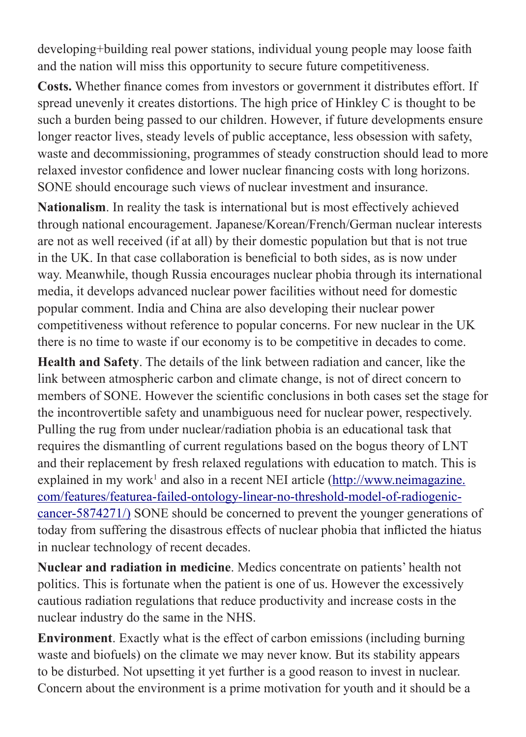developing+building real power stations, individual young people may loose faith and the nation will miss this opportunity to secure future competitiveness.

**Costs.** Whether finance comes from investors or government it distributes effort. If spread unevenly it creates distortions. The high price of Hinkley C is thought to be such a burden being passed to our children. However, if future developments ensure longer reactor lives, steady levels of public acceptance, less obsession with safety, waste and decommissioning, programmes of steady construction should lead to more relaxed investor confidence and lower nuclear financing costs with long horizons. SONE should encourage such views of nuclear investment and insurance.

**Nationalism**. In reality the task is international but is most effectively achieved through national encouragement. Japanese/Korean/French/German nuclear interests are not as well received (if at all) by their domestic population but that is not true in the UK. In that case collaboration is beneficial to both sides, as is now under way. Meanwhile, though Russia encourages nuclear phobia through its international media, it develops advanced nuclear power facilities without need for domestic popular comment. India and China are also developing their nuclear power competitiveness without reference to popular concerns. For new nuclear in the UK there is no time to waste if our economy is to be competitive in decades to come.

**Health and Safety**. The details of the link between radiation and cancer, like the link between atmospheric carbon and climate change, is not of direct concern to members of SONE. However the scientific conclusions in both cases set the stage for the incontrovertible safety and unambiguous need for nuclear power, respectively. Pulling the rug from under nuclear/radiation phobia is an educational task that requires the dismantling of current regulations based on the bogus theory of LNT and their replacement by fresh relaxed regulations with education to match. This is explained in my work<sup>1</sup> and also in a recent NEI article (http://www.neimagazine. com/features/featurea-failed-ontology-linear-no-threshold-model-of-radiogeniccancer-5874271/) SONE should be concerned to prevent the younger generations of today from suffering the disastrous effects of nuclear phobia that inflicted the hiatus in nuclear technology of recent decades.

**Nuclear and radiation in medicine**. Medics concentrate on patients' health not politics. This is fortunate when the patient is one of us. However the excessively cautious radiation regulations that reduce productivity and increase costs in the nuclear industry do the same in the NHS.

**Environment**. Exactly what is the effect of carbon emissions (including burning waste and biofuels) on the climate we may never know. But its stability appears to be disturbed. Not upsetting it yet further is a good reason to invest in nuclear. Concern about the environment is a prime motivation for youth and it should be a